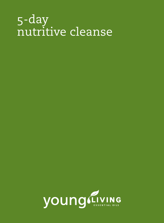# 5-day nutritive cleanse

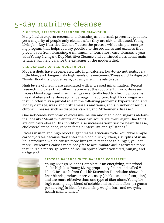## 5-day nutritive cleanse

#### **a gentle, effective approach to cleansing**

Many health experts recommend cleansing as a normal, preventive practice, yet a majority of people only cleanse after they are sick or diseased. Young Living's 5-Day Nutritive Cleanse™ eases the process with a simple, energizing program that helps you say goodbye to the obstacles and excuses that prevent you from cleansing. A minimum of four, short, easy cleanses a year with Young Living's 5-Day Nutritive Cleanse and continued nutritional maintenance will help balance the extremes of the modern diet.

#### **the dangers of the modern diet**

Modern diets have degenerated into high calories, low-to-no nutrients, very little fiber, and dangerously high levels of sweeteners. These quickly digested "foods" flood the bloodstream, causing insulin levels to soar.

High levels of insulin are associated with increased inflammation. Recent research indicates that inflammation is at the root of all chronic diseases. $^{\rm 1}$ Excess blood sugar and insulin surges eventually lead to chronic problems like diabetes and cardiovascular damage. In addition, high blood sugar and insulin often play a pivotal role in the following problems: hypertension and kidney damage, weak and brittle vessels and veins, and a number of serious chronic illnesses such as diabetes, cancer, and Alzheimer's disease. 2

One noticeable symptom of excessive insulin and high blood sugar is abdominal obesity. 3 About two-thirds of American adults are overweight. One third are clinically obese.<sup>4</sup> This condition also increases your risk for heart disease, cholesterol imbalance, cancer, female infertility, and gallstones. 5

Excess insulin and high blood sugar creates a vicious cycle. You crave simple carbohydrates because they enter the blood quickly. Then, a surplus of insulin is produced which causes more hunger. In response to hunger, you eat more. Overeating causes more body fat to accumulate *and* it activates more insulin. This merry-go-round of insulin spikes leaves you tired, hungry, and unfocused.



### **restore balance with balance complete ™**

Young Living's Balance Complete is an energizing, superfood shake high in a Young Living proprietary fiber blend called V-Fiber™ Research from the Life Extension Foundation shows that . fiber blends produce more viscosity (thickness and absorption) and are more effective than one type of fiber alone. Young Living's cutting-edge blend of soluble and insoluble fiber ( 11 grams per serving ) is ideal for cleansing, weight-loss, and everyday health maintenance.\*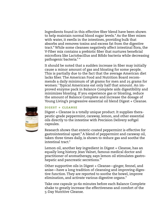Ingredients found in this effective fiber blend have been shown to help maintain normal blood sugar levels.\* As the fiber mixes with water, it swells in the intestines, providing bulk that absorbs and removes toxins and excess fat from the digestive tract.\* While some cleanses negatively affect intestinal flora, the V-Fiber mix contains a prebiotic fiber that nurtures beneficial microflora like Lactobacillus and Bifido bacteria while decreasing pathogenic bacteria. 6 \*

It should be noted that a sudden increase in fiber may initially cause a minor amount of gas and bloating for some people. This is partially due to the fact that the average American diet lacks fiber. The American Food and Nutrition Board recommends a daily minimum of 38 grams for men and 25 grams for women. 7 Typical Americans eat only half that amount. An improved enzyme pack in Balance Complete aids digestibility and minimizes bloating. If you experience gas or bloating, reduce the amount of Balance Complete and increase the dosage of Young Living's progressive essential oil blend Digest + Cleanse.



#### **digest + cleanse**

Digest + Cleanse is a totally unique product. It supplies therapeutic-grade peppermint, caraway, lemon, and other essential oils directly to the intestine with Precision Delivery softgel capsules.

Research shows that enteric-coated peppermint is effective for gastrointestinal upset. 8 A blend of peppermint and caraway oil, taken three times daily, is shown to reduce gas and soothe the intestinal tract. 9

Lemon oil, another key ingredient in Digest + Cleanse, has an equally long history. Jean Valnet, famous medical doctor and practitioner of aromatherapy, says lemon oil stimulates gastrohepatic and pancreatic secretions. 10

Other supportive oils in Digest + Cleanse—ginger, fennel, and anise—have a long tradition of cleansing and improving digestive function. They are reported to soothe the bowel, improve elimination, and activate various digestive organs.\*

Take one capsule 30-60 minutes before each Balance Complete shake to greatly increase the effectiveness and comfort of the 5-Day Nutritive Cleanse.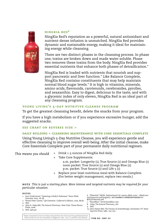

#### **ningxia red ®**

NingXia Red's reputation as a powerful, natural antioxidant and nutrient-dense infusion is unmatched. NingXia Red provides dynamic and sustainable energy, making it ideal for maintaining energy while cleansing.

There are two distinct phases in the cleansing process. In phase one, toxins are broken down and made water soluble. Phase two removes these toxins from the body. NingXia Red provides essential nutrients that enhance both phases of detoxification.\*

NingXia Red is loaded with nutrients that nourish and support pancreatic and liver function.\* Like Balance Complete, NingXia Red contains constituents that may help maintain normal blood sugar levels.\* It is high in vitamins, minerals, amino acids, flavonoids, carotenoids, cerebrosides, pyrolles, and zeaxanthin. Easy to digest, delicious to the taste, and with a glycemic index of only eleven, NingXia Red is an ideal part of any cleansing program.

#### **young living's 5-day nutritive cleanse program**

To get the greatest cleansing benefit, delete the snacks from your program.

If you have a high metabolism or if you experience excessive hunger, add the suggested snacks.

#### **see chart on reverse side >**

#### **daily building + cleansing maintenance with core essentials complete**

Using Young Living's 5-Day Nutritive Cleanse, you will experience gentle and effective cleansing to improve overall well-being. After the initial cleanse, make Core Essentials Complete part of your permanent daily nutritional regimen.

*This means you should* 

- + Drink **1**-3 ounces of NingXia Red daily.
- + Take Core Supplements:

a.m. packet: Longevity (**1**), True Source (**1**) and Omega Blue (**1**) noon packet: True Source (**1**) and Omega Blue (2) p.m. packet: True Source (**1**) and Life 5 (**1**)

+ Replace your least nutritious meal with Balance Complete. (For better weight management, replace two meals.)

**note** *This is just a starting place. More intense and targeted nutrients may be required for your particular situation.*

#### **notes**

- 1. Ann Underwood, "Quieting A Body's Defenses," *News Week*. Summer 2005. 26-28.
- 2. "Novel Fiber Limits," *Life Extension*. Collector's Edition, 2005. 86,87. 3. Ibid.
- 4. Alan R. Gaby MD, *The Natural Pharmacy*. New York: Three Rivers Press, 2006.
- 5. Ibid. 446,447.
- 6. "FiberAid," DKSH. Switzerland Ltd. www3.dksh.com/.../dksh/central/resource.nsf/imgref/4 **A3713434BD7170648256F55002E6111/** \$FILE/FiberAid.pdf.
- 7. "Benefiber," www.benefiber.com.
- 8. Gaby, *The Natural Pharmacy*, 281.

10. John Valnet MD, *The Practice of Aromatherapy*. Rochester, VT: Healing Arts Press, **1**982. **1**50-**1**55.

\*These statements have not been evaluated by the Food and Drug Administration. These products are not intended to diagnose, treat, cure, or prevent any disease. **ITEM NO. 3987 V3**

<sup>9.</sup> Ibid.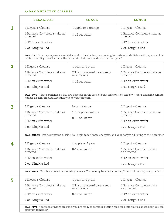#### **5-day nutritive cleanse**

|                | <b>BREAKFAST</b>                                                                                                     | <b>SNACK</b>                                                                       | <b>LUNCH</b>                                                                                                        |
|----------------|----------------------------------------------------------------------------------------------------------------------|------------------------------------------------------------------------------------|---------------------------------------------------------------------------------------------------------------------|
| $\overline{1}$ | 1 Digest + Cleanse                                                                                                   | 1 apple or 1 orange                                                                | 1 Digest + Cleanse                                                                                                  |
|                | 1 Balance Complete shake as<br>directed                                                                              | 8-12 oz. water                                                                     | 1 Balance Complete shake as<br>directed                                                                             |
|                | 8-12 oz. extra water                                                                                                 |                                                                                    | 8-12 oz. extra water                                                                                                |
|                | 2 oz. NingXia Red                                                                                                    |                                                                                    | 2 oz. NingXia Red                                                                                                   |
|                |                                                                                                                      | so, take one Digest + Cleanse with each shake. If desired, add one Essentialzyme." | DAY ONE You may experience mild discomfort, headaches, or a craving for certain foods. Balance Complete will hel    |
| $\overline{2}$ | 1 Digest + Cleanse                                                                                                   | 1 pear or 1 plum                                                                   | 1 Digest + Cleanse                                                                                                  |
|                | 1 Balance Complete shake as<br>directed                                                                              | 2 Tbsp. raw sunflower seeds<br>or almonds                                          | 1 Balance Complete shake as<br>directed                                                                             |
|                | 8-12 oz. extra water                                                                                                 | 8-12 oz. water                                                                     | 8-12 oz. extra water                                                                                                |
|                | 2 oz. NingXia Red                                                                                                    |                                                                                    | 2 oz. NingXia Red                                                                                                   |
|                | causes discomfort, add Essentialzyme to your program.                                                                |                                                                                    | DAY TWO Your experience on day two depends on the level of body toxicity. High toxicity = more cleansing symptor    |
| 3              | 1 Digest + Cleanse                                                                                                   | 1/2 cantaloupe                                                                     | 1 Digest + Cleanse                                                                                                  |
|                | 1 Balance Complete shake as<br>directed                                                                              | 1 c. peppermint tea                                                                | 1 Balance Complete shake as<br>directed                                                                             |
|                | 8-12 oz. extra water                                                                                                 | 8-12 oz. water                                                                     | 8-12 oz. extra water                                                                                                |
|                | 2 oz. NingXia Red                                                                                                    |                                                                                    | 2 oz. NingXia Red                                                                                                   |
|                |                                                                                                                      |                                                                                    | DAY THREE Toxic symptoms subside. You begin to feel more energetic, and your body is adjusting to the extra fiber   |
| 4              | 1 Digest + Cleanse                                                                                                   | 1 apple or 1 pear                                                                  | 1 Digest + Cleanse                                                                                                  |
|                | 1 Balance Complete shake as<br>directed                                                                              | 8-12 oz. water                                                                     | 1 Balance Complete shake<br>as directed                                                                             |
|                | 8-12 oz. extra water                                                                                                 |                                                                                    | 8-12 oz. extra water                                                                                                |
|                | 2 oz. NingXia Red                                                                                                    |                                                                                    | 2 oz. NingXia Red                                                                                                   |
|                | DAY FOUR Your body feels the cleansing benefits. Your energy level is increasing. Your food cravings are gone. You r |                                                                                    |                                                                                                                     |
| 5              | 1 Digest + Cleanse                                                                                                   | 1 pear or 1 plum                                                                   | 1 Digest + Cleanse                                                                                                  |
|                | 1 Balance Complete shake as<br>directed                                                                              | 2 Tbsp. raw sunflower seeds<br>or almonds                                          | 1 Balance Complete shake<br>as directed                                                                             |
|                | 8-12 oz. extra water                                                                                                 | 8-12 oz. water                                                                     | 8-12 oz. extra water                                                                                                |
|                | 2 oz. NingXia Red                                                                                                    |                                                                                    | 2 oz. NingXia Red                                                                                                   |
|                | program tomorrow.                                                                                                    |                                                                                    | DAY FIVE Your food cravings are gone; you are ready to continue putting good food into your cleansed body. You feel |